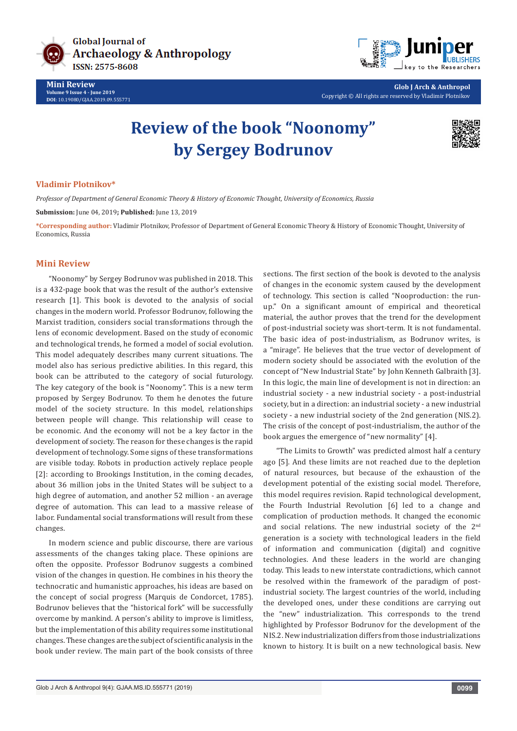

**Mini Review Volume 9 Issue 4 - June 2019 DOI**: [10.19080/GJAA.2019.09.555771](http://dx.doi.org/10.19080/GJAA.2019.09.555771)



**Glob J Arch & Anthropol** Copyright © All rights are reserved by Vladimir Plotnikov

# **Review of the book "Noonomy" by Sergey Bodrunov**



## **Vladimir Plotnikov\***

*Professor of Department of General Economic Theory & History of Economic Thought, University of Economics, Russia*

**Submission:** June 04, 2019**; Published:** June 13, 2019

**\*Corresponding author:** Vladimir Plotnikov, Professor of Department of General Economic Theory & History of Economic Thought, University of Economics, Russia

## **Mini Review**

"Noonomy" by Sergey Bodrunov was published in 2018. This is a 432-page book that was the result of the author's extensive research [1]. This book is devoted to the analysis of social changes in the modern world. Professor Bodrunov, following the Marxist tradition, considers social transformations through the lens of economic development. Based on the study of economic and technological trends, he formed a model of social evolution. This model adequately describes many current situations. The model also has serious predictive abilities. In this regard, this book can be attributed to the category of social futurology. The key category of the book is "Noonomy". This is a new term proposed by Sergey Bodrunov. To them he denotes the future model of the society structure. In this model, relationships between people will change. This relationship will cease to be economic. And the economy will not be a key factor in the development of society. The reason for these changes is the rapid development of technology. Some signs of these transformations are visible today. Robots in production actively replace people [2]: according to Brookings Institution, in the coming decades, about 36 million jobs in the United States will be subject to a high degree of automation, and another 52 million - an average degree of automation. This can lead to a massive release of labor. Fundamental social transformations will result from these changes.

In modern science and public discourse, there are various assessments of the changes taking place. These opinions are often the opposite. Professor Bodrunov suggests a combined vision of the changes in question. He combines in his theory the technocratic and humanistic approaches, his ideas are based on the concept of social progress (Marquis de Condorcet, 1785). Bodrunov believes that the "historical fork" will be successfully overcome by mankind. A person's ability to improve is limitless, but the implementation of this ability requires some institutional changes. These changes are the subject of scientific analysis in the book under review. The main part of the book consists of three

sections. The first section of the book is devoted to the analysis of changes in the economic system caused by the development of technology. This section is called "Nooproduction: the runup." On a significant amount of empirical and theoretical material, the author proves that the trend for the development of post-industrial society was short-term. It is not fundamental. The basic idea of post-industrialism, as Bodrunov writes, is a "mirage". He believes that the true vector of development of modern society should be associated with the evolution of the concept of "New Industrial State" by John Kenneth Galbraith [3]. In this logic, the main line of development is not in direction: an industrial society - a new industrial society - a post-industrial society, but in a direction: an industrial society - a new industrial society - a new industrial society of the 2nd generation (NIS.2). The crisis of the concept of post-industrialism, the author of the book argues the emergence of "new normality" [4].

"The Limits to Growth" was predicted almost half a century ago [5]. And these limits are not reached due to the depletion of natural resources, but because of the exhaustion of the development potential of the existing social model. Therefore, this model requires revision. Rapid technological development, the Fourth Industrial Revolution [6] led to a change and complication of production methods. It changed the economic and social relations. The new industrial society of the 2<sup>nd</sup> generation is a society with technological leaders in the field of information and communication (digital) and cognitive technologies. And these leaders in the world are changing today. This leads to new interstate contradictions, which cannot be resolved within the framework of the paradigm of postindustrial society. The largest countries of the world, including the developed ones, under these conditions are carrying out the "new" industrialization. This corresponds to the trend highlighted by Professor Bodrunov for the development of the NIS.2. New industrialization differs from those industrializations known to history. It is built on a new technological basis. New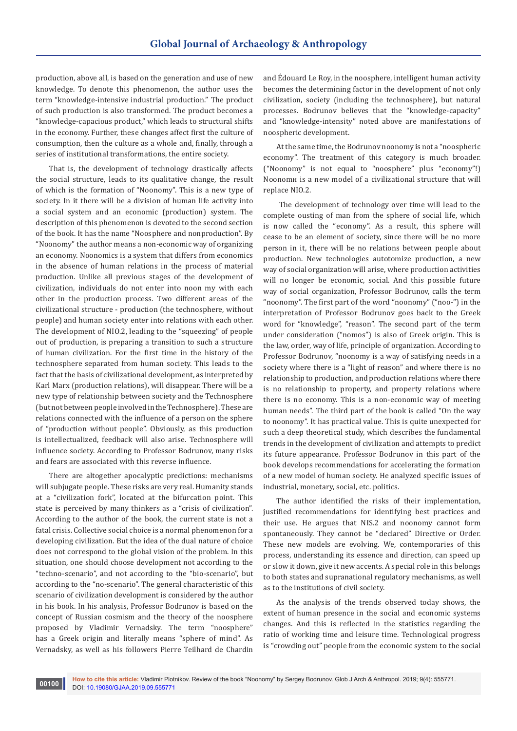production, above all, is based on the generation and use of new knowledge. To denote this phenomenon, the author uses the term "knowledge-intensive industrial production." The product of such production is also transformed. The product becomes a "knowledge-capacious product," which leads to structural shifts in the economy. Further, these changes affect first the culture of consumption, then the culture as a whole and, finally, through a series of institutional transformations, the entire society.

That is, the development of technology drastically affects the social structure, leads to its qualitative change, the result of which is the formation of "Noonomy". This is a new type of society. In it there will be a division of human life activity into a social system and an economic (production) system. The description of this phenomenon is devoted to the second section of the book. It has the name "Noosphere and nonproduction". By "Noonomy" the author means a non-economic way of organizing an economy. Noonomics is a system that differs from economics in the absence of human relations in the process of material production. Unlike all previous stages of the development of civilization, individuals do not enter into noon my with each other in the production process. Two different areas of the civilizational structure - production (the technosphere, without people) and human society enter into relations with each other. The development of NIO.2, leading to the "squeezing" of people out of production, is preparing a transition to such a structure of human civilization. For the first time in the history of the technosphere separated from human society. This leads to the fact that the basis of civilizational development, as interpreted by Karl Marx (production relations), will disappear. There will be a new type of relationship between society and the Technosphere (but not between people involved in the Technosphere). These are relations connected with the influence of a person on the sphere of "production without people". Obviously, as this production is intellectualized, feedback will also arise. Technosphere will influence society. According to Professor Bodrunov, many risks and fears are associated with this reverse influence.

There are altogether apocalyptic predictions: mechanisms will subjugate people. These risks are very real. Humanity stands at a "civilization fork", located at the bifurcation point. This state is perceived by many thinkers as a "crisis of civilization". According to the author of the book, the current state is not a fatal crisis. Collective social choice is a normal phenomenon for a developing civilization. But the idea of the dual nature of choice does not correspond to the global vision of the problem. In this situation, one should choose development not according to the "techno-scenario", and not according to the "bio-scenario", but according to the "no-scenario". The general characteristic of this scenario of civilization development is considered by the author in his book. In his analysis, Professor Bodrunov is based on the concept of Russian cosmism and the theory of the noosphere proposed by Vladimir Vernadsky. The term "noosphere" has a Greek origin and literally means "sphere of mind". As Vernadsky, as well as his followers Pierre Teilhard de Chardin

and Édouard Le Roy, in the noosphere, intelligent human activity becomes the determining factor in the development of not only civilization, society (including the technosphere), but natural processes. Bodrunov believes that the "knowledge-capacity" and "knowledge-intensity" noted above are manifestations of noospheric development.

At the same time, the Bodrunov noonomy is not a "noospheric economy". The treatment of this category is much broader. ("Noonomy" is not equal to "noosphere" plus "economy"!) Noonomн is a new model of a civilizational structure that will replace NIO.2.

 The development of technology over time will lead to the complete ousting of man from the sphere of social life, which is now called the "economy". As a result, this sphere will cease to be an element of society, since there will be no more person in it, there will be no relations between people about production. New technologies autotomize production, a new way of social organization will arise, where production activities will no longer be economic, social. And this possible future way of social organization, Professor Bodrunov, calls the term "noonomy". The first part of the word "noonomy" ("noo-") in the interpretation of Professor Bodrunov goes back to the Greek word for "knowledge", "reason". The second part of the term under consideration ("nomos") is also of Greek origin. This is the law, order, way of life, principle of organization. According to Professor Bodrunov, "noonomy is a way of satisfying needs in a society where there is a "light of reason" and where there is no relationship to production, and production relations where there is no relationship to property, and property relations where there is no economy. This is a non-economic way of meeting human needs". The third part of the book is called "On the way to noonomy". It has practical value. This is quite unexpected for such a deep theoretical study, which describes the fundamental trends in the development of civilization and attempts to predict its future appearance. Professor Bodrunov in this part of the book develops recommendations for accelerating the formation of a new model of human society. He analyzed specific issues of industrial, monetary, social, etc. politics.

The author identified the risks of their implementation, justified recommendations for identifying best practices and their use. He argues that NIS.2 and noonomy cannot form spontaneously. They cannot be "declared" Directive or Order. These new models are evolving. We, contemporaries of this process, understanding its essence and direction, can speed up or slow it down, give it new accents. A special role in this belongs to both states and supranational regulatory mechanisms, as well as to the institutions of civil society.

As the analysis of the trends observed today shows, the extent of human presence in the social and economic systems changes. And this is reflected in the statistics regarding the ratio of working time and leisure time. Technological progress is "crowding out" people from the economic system to the social